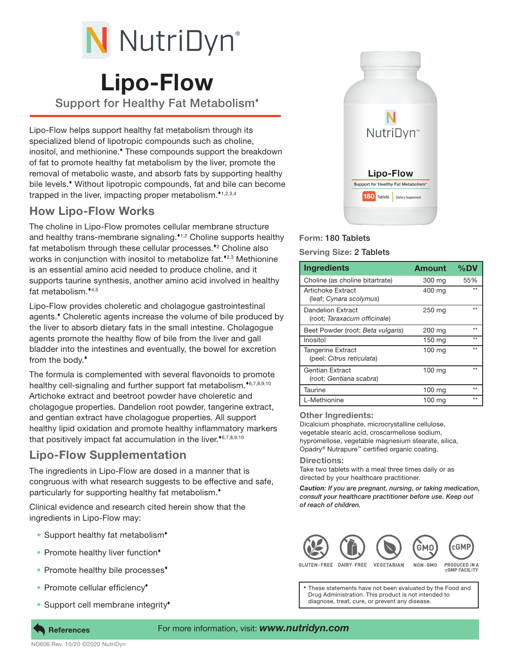

# Lipo-Flow

Support for Healthy Fat Metabolism

Lipo-Flow helps support healthy fat metabolism through its specialized blend of lipotropic compounds such as choline, inositol, and methionine.<sup>\*</sup> These compounds support the breakdown of fat to promote healthy fat metabolism by the liver, promote the removal of metabolic waste, and absorb fats by supporting healthy bile levels. Without lipotropic compounds, fat and bile can become trapped in the liver, impacting proper metabolism. $*1,2,3,4$ 

## How Lipo-Flow Works

The choline in Lipo-Flow promotes cellular membrane structure and healthy trans-membrane signaling.<sup>\*1,2</sup> Choline supports healthy fat metabolism through these cellular processes.<sup>\*2</sup> Choline also works in conjunction with inositol to metabolize fat.<sup>42,3</sup> Methionine is an essential amino acid needed to produce choline, and it supports taurine synthesis, another amino acid involved in healthy fat metabolism. $44,5$ 

Lipo-Flow provides choleretic and cholagogue gastrointestinal agents. Choleretic agents increase the volume of bile produced by the liver to absorb dietary fats in the small intestine. Cholagogue agents promote the healthy flow of bile from the liver and gall bladder into the intestines and eventually, the bowel for excretion from the body.

The formula is complemented with several flavonoids to promote healthy cell-signaling and further support fat metabolism.\*6,7,8,9,10 Artichoke extract and beetroot powder have choleretic and cholagogue properties. Dandelion root powder, tangerine extract, and gentian extract have cholagogue properties. All support healthy lipid oxidation and promote healthy inflammatory markers that positively impact fat accumulation in the liver.<sup>\*6,7,8,9,10</sup>

## Lipo-Flow Supplementation

The ingredients in Lipo-Flow are dosed in a manner that is congruous with what research suggests to be effective and safe, particularly for supporting healthy fat metabolism.<sup>\*</sup>

Clinical evidence and research cited herein show that the ingredients in Lipo-Flow may:

- Support healthy fat metabolism<sup>+</sup>
- Promote healthy liver function<sup>\*</sup>
- Promote healthy bile processes<sup>\*</sup>
- Promote cellular efficiency<sup>\*</sup>
- Support cell membrane integrity<sup>\*</sup>



### Form: 180 Tablets

#### Serving Size: 2 Tablets

| <b>Ingredients</b>                                       | <b>Amount</b> | %DV   |
|----------------------------------------------------------|---------------|-------|
| Choline (as choline bitartrate)                          | 300 mg        | 55%   |
| <b>Artichoke Extract</b><br>(leaf; Cynara scolymus)      | 400 mg        | $***$ |
| <b>Dandelion Extract</b><br>(root: Taraxacum officinale) | 250 mg        | $*$   |
| Beet Powder (root; Beta vulgaris)                        | 200 mg        | $***$ |
| Inositol                                                 | 150 mg        | $***$ |
| <b>Tangerine Extract</b><br>(peel; Citrus reticulata)    | 100 mg        | $**$  |
| Gentian Extract<br>(root: Gentiana scabra)               | 100 mg        | $**$  |
| Taurine                                                  | 100 mg        | $***$ |
| L-Methionine                                             | $100$ mg      | $**$  |

#### Other Ingredients:

Dicalcium phosphate, microcrystalline cellulose, vegetable stearic acid, croscarmellose sodium, hypromellose, vegetable magnesium stearate, silica, Opadry® Nutrapure™ certified organic coating.

#### Directions:

Take two tablets with a meal three times daily or as directed by your healthcare practitioner.

*Caution: If you are pregnant, nursing, or taking medication, consult your healthcare practitioner before use. Keep out of reach of children.*



**GLUTEN-FREE** DAIRY-FREE

PRODUCED IN A

These statements have not been evaluated by the Food and Drug Administration. This product is not intended to diagnose, treat, cure, or prevent any disease.

ND606 Rev. 10/20 ©2020 NutriDyn

### References For more information, visit: *www.nutridyn.com*